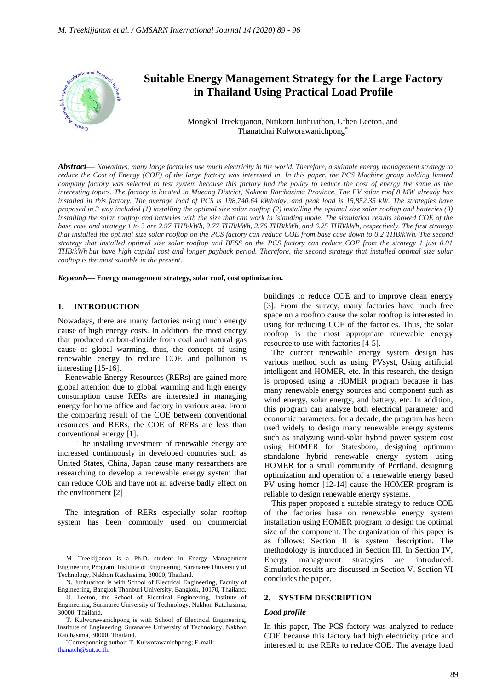

# **Suitable Energy Management Strategy for the Large Factory in Thailand Using Practical Load Profile**

Mongkol Treekijjanon, Nitikorn Junhuathon, Uthen Leeton, and Thanatchai Kulworawanichpong\*

*Abstract***—** *Nowadays, many large factories use much electricity in the world. Therefore, a suitable energy management strategy to reduce the Cost of Energy (COE) of the large factory was interested in. In this paper, the PCS Machine group holding limited company factory was selected to test system because this factory had the policy to reduce the cost of energy the same as the interesting topics. The factory is located in Mueang District, Nakhon Ratchasima Province. The PV solar roof 8 MW already has installed in this factory. The average load of PCS is 198,740.64 kWh/day, and peak load is 15,852.35 kW. The strategies have proposed in 3 way included (1) installing the optimal size solar rooftop (2) installing the optimal size solar rooftop and batteries (3)*  installing the solar rooftop and batteries with the size that can work in islanding mode. The simulation results showed COE of the *base case and strategy 1 to 3 are 2.97 THB*/*kWh, 2.77 THB*/*kWh, 2.76 THB*/*kWh, and 6.25 THB*/*kWh, respectively. The first strategy that installed the optimal size solar rooftop on the PCS factory can reduce COE from base case down to 0.2 THB*/*kWh. The second strategy that installed optimal size solar rooftop and BESS on the PCS factory can reduce COE from the strategy 1 just 0.01 THB*/*kWh but have high capital cost and longer payback period. Therefore, the second strategy that installed optimal size solar rooftop is the most suitable in the present.*

*Keywords***— Energy management strategy, solar roof, cost optimization.**

# **1. INTRODUCTION**

Nowadays, there are many factories using much energy cause of high energy costs. In addition, the most energy that produced carbon-dioxide from coal and natural gas cause of global warming. thus, the concept of using renewable energy to reduce COE and pollution is interesting [15-16].

Renewable Energy Resources (RERs) are gained more global attention due to global warming and high energy consumption cause RERs are interested in managing energy for home office and factory in various area. From the comparing result of the COE between conventional resources and RERs, the COE of RERs are less than conventional energy [1].

The installing investment of renewable energy are increased continuously in developed countries such as United States, China, Japan cause many researchers are researching to develop a renewable energy system that can reduce COE and have not an adverse badly effect on the environment [2]

The integration of RERs especially solar rooftop system has been commonly used on commercial buildings to reduce COE and to improve clean energy [3]. From the survey, many factories have much free space on a rooftop cause the solar rooftop is interested in using for reducing COE of the factories. Thus, the solar rooftop is the most appropriate renewable energy resource to use with factories [4-5].

The current renewable energy system design has various method such as using PVsyst, Using artificial intelligent and HOMER, etc. In this research, the design is proposed using a HOMER program because it has many renewable energy sources and component such as wind energy, solar energy, and battery, etc. In addition, this program can analyze both electrical parameter and economic parameters. for a decade, the program has been used widely to design many renewable energy systems such as analyzing wind-solar hybrid power system cost using HOMER for Statesboro, designing optimum standalone hybrid renewable energy system using HOMER for a small community of Portland, designing optimization and operation of a renewable energy based PV using homer [12-14] cause the HOMER program is reliable to design renewable energy systems.

This paper proposed a suitable strategy to reduce COE of the factories base on renewable energy system installation using HOMER program to design the optimal size of the component. The organization of this paper is as follows: Section II is system description. The methodology is introduced in Section III. In Section IV, Energy management strategies are introduced. Simulation results are discussed in Section V. Section VI concludes the paper.

# **2. SYSTEM DESCRIPTION**

#### *Load profile*

In this paper, The PCS factory was analyzed to reduce COE because this factory had high electricity price and interested to use RERs to reduce COE. The average load

M. Treekijjanon is a Ph.D. student in Energy Management Engineering Program, Institute of Engineering, Suranaree University of Technology, Nakhon Ratchasima, 30000, Thailand.

N. Junhuathon is with School of Electrical Engineering, Faculty of Engineering, Bangkok Thonburi University, Bangkok, 10170, Thailand.

U. Leeton, the School of Electrical Engineering, Institute of Engineering, Suranaree University of Technology, Nakhon Ratchasima, 30000, Thailand.

T. Kulworawanichpong is with School of Electrical Engineering, Institute of Engineering, Suranaree University of Technology, Nakhon Ratchasima, 30000, Thailand.

<sup>\*</sup>Corresponding author: T. Kulworawanichpong; E-mail: [thanatch@sut.ac.th.](mailto:thanatch@sut.ac.th)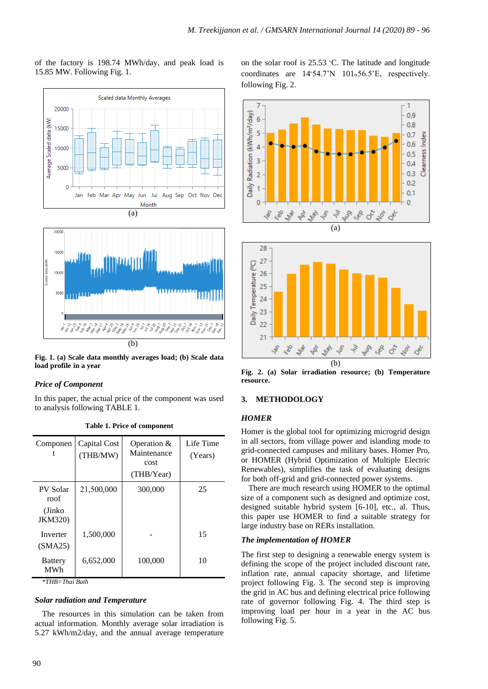of the factory is 198.74 MWh/day, and peak load is 15.85 MW. Following Fig. 1.



**Fig. 1. (a) Scale data monthly averages load; (b) Scale data load profile in a year**

# *Price of Component*

In this paper, the actual price of the component was used to analysis following TABLE 1.

| Componen                                     | Capital Cost<br>(THB/MW) | Operation $&$<br>Maintenance<br>cost<br>(THB/Year) | Life Time<br>(Years) |
|----------------------------------------------|--------------------------|----------------------------------------------------|----------------------|
| PV Solar<br>roof<br>(Jinko<br><b>JKM320)</b> | 21,500,000               | 300,000                                            | 25                   |
| Inverter<br>(SMA25)                          | 1,500,000                |                                                    | 15                   |
| <b>Battery</b><br>MWh                        | 6,652,000                | 100,000                                            | 10                   |

**Table 1. Price of component**

*\*THB=Thai Bath*

## *Solar radiation and Temperature*

The resources in this simulation can be taken from actual information. Monthly average solar irradiation is 5.27 kWh/m2/day, and the annual average temperature on the solar roof is  $25.53$  °C. The latitude and longitude coordinates are  $14°54.7'N$   $101°56.5'E$ , respectively. following Fig. 2.





**Fig. 2. (a) Solar irradiation resource; (b) Temperature resource.**

# **3. METHODOLOGY**

# *HOMER*

Homer is the global tool for optimizing microgrid design in all sectors, from village power and islanding mode to grid-connected campuses and military bases. Homer Pro, or HOMER (Hybrid Optimization of Multiple Electric Renewables), simplifies the task of evaluating designs for both off-grid and grid-connected power systems.

There are much research using HOMER to the optimal size of a component such as designed and optimize cost, designed suitable hybrid system [6-10], etc., al. Thus, this paper use HOMER to find a suitable strategy for large industry base on RERs installation.

#### *The implementation of HOMER*

The first step to designing a renewable energy system is defining the scope of the project included discount rate, inflation rate, annual capacity shortage, and lifetime project following Fig. 3. The second step is improving the grid in AC bus and defining electrical price following rate of governor following Fig. 4. The third step is improving load per hour in a year in the AC bus following Fig. 5.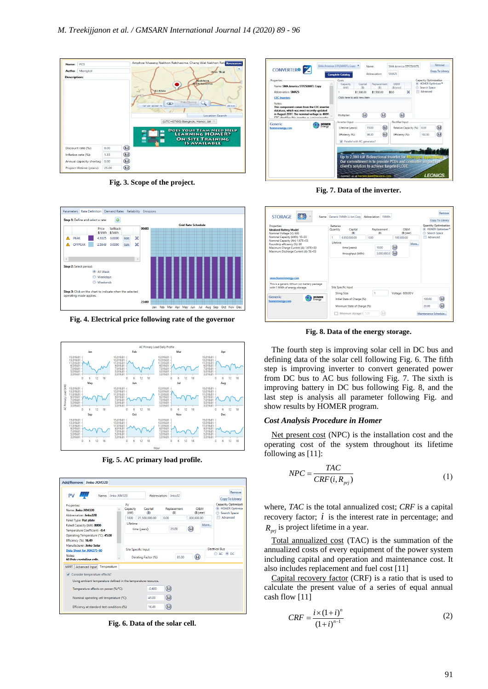

**Fig. 3. Scope of the project.**



**Fig. 4. Electrical price following rate of the governor**



**Fig. 5. AC primary load profile.**

| PV<br>Name: Jinko JKM320                                                                                                                                                         |                                |                                 | Abbreviation: Jinko32      |                               | Remove<br>Copy To Library                                                       |
|----------------------------------------------------------------------------------------------------------------------------------------------------------------------------------|--------------------------------|---------------------------------|----------------------------|-------------------------------|---------------------------------------------------------------------------------|
| Properties<br>Name: Jinko JKM320<br>Abbreviation: Jinko320                                                                                                                       | PV<br>Capacity<br>(kW)<br>1000 | Capital<br>(B)<br>21.500.000.00 | Replacement<br>(B)<br>0.00 | O&M<br>(B/vear)<br>300.000.00 | <b>Capacity Optimizati</b><br><b>HOMER Optimize</b><br>Search Space<br>Advanced |
| Panel Type: Flat plate<br>Rated Capacity (kW): 8000<br>Temperature Coefficient: - 0.4<br>Operating Temperature (°C): 45.00<br>Efficiency (%): 16.49<br>Manufacturer: Jinko Solar | Lifetime<br>time (years):      |                                 | 25.00                      | More<br>$\left( . \right)$    |                                                                                 |
| Data Sheet for JKM275-60<br>Notes:<br>60 Poly-crystalline cells.                                                                                                                 | <b>Site Specific Input</b>     | Derating Factor (%):            | 85.00                      | $(\Box)$                      | <b>Flechical Bus</b><br>© AC ◉ DC                                               |
| <b>MPPT</b><br>Advanced Input Temperature                                                                                                                                        |                                |                                 |                            |                               |                                                                                 |
| Consider temperature effects?<br>Using ambient temperature defined in the temperature resource.                                                                                  |                                |                                 |                            |                               |                                                                                 |
| Temperature effects on power (%/°C):                                                                                                                                             |                                | $-0.400$                        | (L)                        |                               |                                                                                 |
| Nominal operating cell temperature (°C):                                                                                                                                         |                                | 45.00                           | $(1 - 1)$                  |                               |                                                                                 |
| Efficiency at standard test conditions (%):                                                                                                                                      |                                | 16.49                           | (L)                        |                               |                                                                                 |

**Fig. 6. Data of the solar cell.**



**Fig. 7. Data of the inverter.**

| Properties<br><b>Idealized Battery Model</b><br>Nominal Voltage (V): 600                                     | <b>Batteries</b><br>Quantity | Capital<br>(B)                     | Replacement<br>(B)   | O <sub>RM</sub><br>(B/year)         |      | <b>Quantity Optimization</b><br><b>Search Space</b> | <b>HOMER Optimizer<sup>3</sup></b> |
|--------------------------------------------------------------------------------------------------------------|------------------------------|------------------------------------|----------------------|-------------------------------------|------|-----------------------------------------------------|------------------------------------|
| Nominal Capacity (kWh): 1E+03<br>Nominal Capacity (Ah): 1.67E+03                                             | $\mathbf{1}$                 | 6.652.000.00                       | 0.00                 | 100,000.00                          |      | Advanced                                            |                                    |
| Roundtrip efficiency (%): 90<br>Maximum Charge Current (A): 1.67E+03<br>Maximum Discharge Current (A): 5E+03 |                              | time (years):<br>throughput (kWh): | 10.00<br>3.000.000.0 | $\bigcirc$<br>$\left( \Box \right)$ | More |                                                     |                                    |
| www.homerenergy.com                                                                                          |                              |                                    |                      |                                     |      |                                                     |                                    |
| This is a generic lithium ion battery package<br>with 1 MWh of energy storage.                               |                              | <b>Site Specific Input</b>         |                      |                                     |      |                                                     |                                    |
|                                                                                                              |                              | <b>String Size:</b>                | 1                    | Voltage: 600.00 V                   |      |                                                     |                                    |
| <b>Generic</b><br><b>HOMER</b><br>Energy<br>homerenergy.com                                                  |                              | Initial State of Charge (%):       |                      |                                     |      | 100.00                                              | (L)                                |

**Fig. 8. Data of the energy storage.**

The fourth step is improving solar cell in DC bus and defining data of the solar cell following Fig. 6. The fifth step is improving inverter to convert generated power from DC bus to AC bus following Fig. 7. The sixth is improving battery in DC bus following Fig. 8, and the last step is analysis all parameter following Fig. and show results by HOMER program.

#### *Cost Analysis Procedure in Homer*

Net present cost (NPC) is the installation cost and the operating cost of the system throughout its lifetime following as [11]:

$$
NPC = \frac{TAC}{CRF(i, R_{pri})}
$$
 (1)

where, *TAC* is the total annualized cost; *CRF* is a capital recovery factor;  $i$  is the interest rate in percentage; and *Rprj* is project lifetime in a year.

Total annualized cost (TAC) is the summation of the annualized costs of every equipment of the power system including capital and operation and maintenance cost. It also includes replacement and fuel cost [11]

Capital recovery factor (CRF) is a ratio that is used to calculate the present value of a series of equal annual cash flow [11]

$$
CRF = \frac{i \times (1+i)^n}{(1+i)^{n-1}}
$$
 (2)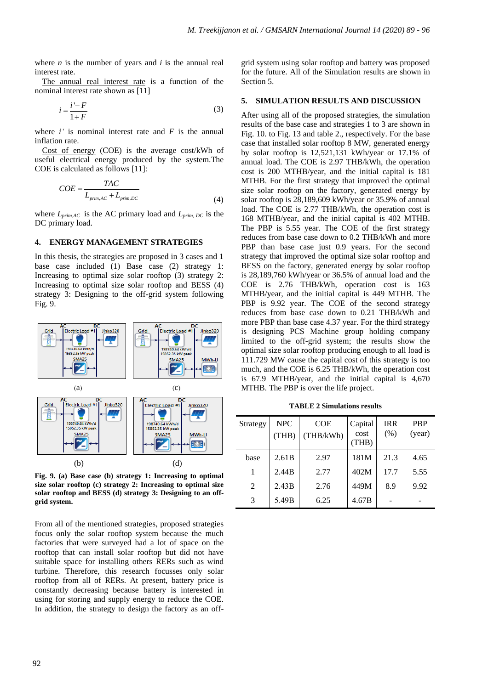where *n* is the number of years and *i* is the annual real interest rate.

The annual real interest rate is a function of the nominal interest rate shown as [11]

$$
i = \frac{i'-F}{1+F} \tag{3}
$$

where  $i'$  is nominal interest rate and  $F$  is the annual inflation rate.

Cost of energy (COE) is the average cost/kWh of useful electrical energy produced by the system.The COE is calculated as follows [11]:

$$
COE = \frac{TAC}{L_{prim,AC} + L_{prim,DC}}
$$
\n(4)

where *Lprim,AC* is the AC primary load and *Lprim, DC* is the DC primary load.

## **4. ENERGY MANAGEMENT STRATEGIES**

In this thesis, the strategies are proposed in 3 cases and 1 base case included (1) Base case (2) strategy 1: Increasing to optimal size solar rooftop (3) strategy 2: Increasing to optimal size solar rooftop and BESS (4) strategy 3: Designing to the off-grid system following Fig. 9.



**Fig. 9. (a) Base case (b) strategy 1: Increasing to optimal size solar rooftop (c) strategy 2: Increasing to optimal size solar rooftop and BESS (d) strategy 3: Designing to an offgrid system.**

From all of the mentioned strategies, proposed strategies focus only the solar rooftop system because the much factories that were surveyed had a lot of space on the rooftop that can install solar rooftop but did not have suitable space for installing others RERs such as wind turbine. Therefore, this research focusses only solar rooftop from all of RERs. At present, battery price is constantly decreasing because battery is interested in using for storing and supply energy to reduce the COE. In addition, the strategy to design the factory as an offgrid system using solar rooftop and battery was proposed for the future. All of the Simulation results are shown in Section 5.

## **5. SIMULATION RESULTS AND DISCUSSION**

After using all of the proposed strategies, the simulation results of the base case and strategies 1 to 3 are shown in Fig. 10. to Fig. 13 and table 2., respectively. For the base case that installed solar rooftop 8 MW, generated energy by solar rooftop is 12,521,131 kWh/year or 17.1% of annual load. The COE is 2.97 THB/kWh, the operation cost is 200 MTHB/year, and the initial capital is 181 MTHB. For the first strategy that improved the optimal size solar rooftop on the factory, generated energy by solar rooftop is 28,189,609 kWh/year or 35.9% of annual load. The COE is 2.77 THB/kWh, the operation cost is 168 MTHB/year, and the initial capital is 402 MTHB. The PBP is 5.55 year. The COE of the first strategy reduces from base case down to 0.2 THB/kWh and more PBP than base case just 0.9 years. For the second strategy that improved the optimal size solar rooftop and BESS on the factory, generated energy by solar rooftop is 28,189,760 kWh/year or 36.5% of annual load and the COE is 2.76 THB/kWh, operation cost is 163 MTHB/year, and the initial capital is 449 MTHB. The PBP is 9.92 year. The COE of the second strategy reduces from base case down to 0.21 THB/kWh and more PBP than base case 4.37 year. For the third strategy is designing PCS Machine group holding company limited to the off-grid system; the results show the optimal size solar rooftop producing enough to all load is 111.729 MW cause the capital cost of this strategy is too much, and the COE is 6.25 THB/kWh, the operation cost is 67.9 MTHB/year, and the initial capital is 4,670 MTHB. The PBP is over the life project.

**TABLE 2 Simulations results**

| Strategy | <b>NPC</b><br>(THB) | COE<br>(THB/kWh) | Capital<br>cost<br>(THB) | <b>IRR</b><br>(% ) | <b>PBP</b><br>(year) |
|----------|---------------------|------------------|--------------------------|--------------------|----------------------|
| base     | 2.61 <sub>B</sub>   | 2.97             | 181M                     | 21.3               | 4.65                 |
|          | 2.44B               | 2.77             | 402M                     | 17.7               | 5.55                 |
| 2        | 2.43B               | 2.76             | 449M                     | 8.9                | 9.92                 |
| 3        | 5.49B               | 6.25             | 4.67B                    |                    |                      |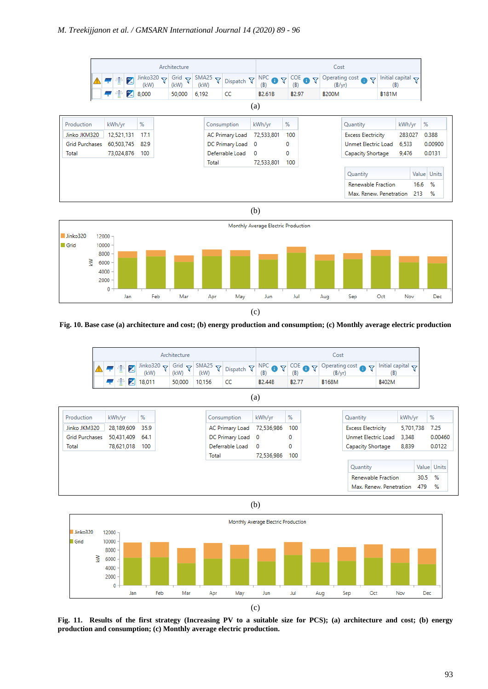



**Fig. 10. Base case (a) architecture and cost; (b) energy production and consumption; (c) Monthly average electric production**



(a)







**Fig. 11. Results of the first strategy (Increasing PV to a suitable size for PCS); (a) architecture and cost; (b) energy production and consumption; (c) Monthly average electric production.**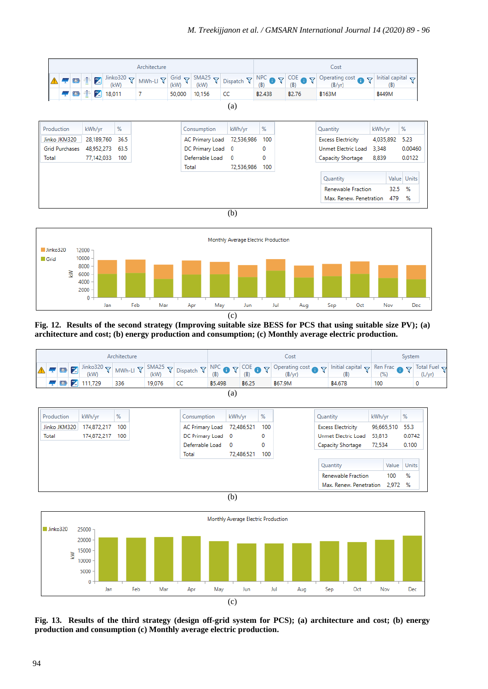

(b)



**Fig. 12. Results of the second strategy (Improving suitable size BESS for PCS that using suitable size PV); (a) architecture and cost; (b) energy production and consumption; (c) Monthly average electric production.**







**Fig. 13. Results of the third strategy (design off-grid system for PCS); (a) architecture and cost; (b) energy production and consumption (c) Monthly average electric production.**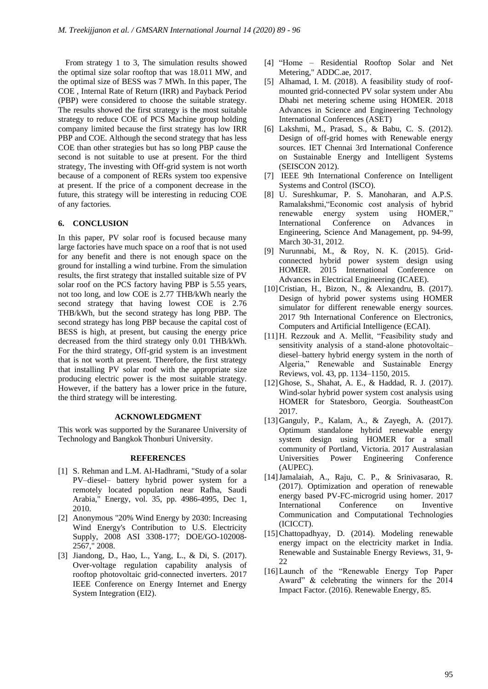From strategy 1 to 3, The simulation results showed the optimal size solar rooftop that was 18.011 MW, and the optimal size of BESS was 7 MWh. In this paper, The COE , Internal Rate of Return (IRR) and Payback Period (PBP) were considered to choose the suitable strategy. The results showed the first strategy is the most suitable strategy to reduce COE of PCS Machine group holding company limited because the first strategy has low IRR PBP and COE. Although the second strategy that has less COE than other strategies but has so long PBP cause the second is not suitable to use at present. For the third strategy, The investing with Off-grid system is not worth because of a component of RERs system too expensive at present. If the price of a component decrease in the future, this strategy will be interesting in reducing COE of any factories.

# **6. CONCLUSION**

In this paper, PV solar roof is focused because many large factories have much space on a roof that is not used for any benefit and there is not enough space on the ground for installing a wind turbine. From the simulation results, the first strategy that installed suitable size of PV solar roof on the PCS factory having PBP is 5.55 years, not too long, and low COE is 2.77 THB/kWh nearly the second strategy that having lowest COE is 2.76 THB/kWh, but the second strategy has long PBP. The second strategy has long PBP because the capital cost of BESS is high, at present, but causing the energy price decreased from the third strategy only 0.01 THB/kWh. For the third strategy, Off-grid system is an investment that is not worth at present. Therefore, the first strategy that installing PV solar roof with the appropriate size producing electric power is the most suitable strategy. However, if the battery has a lower price in the future, the third strategy will be interesting.

## **ACKNOWLEDGMENT**

This work was supported by the Suranaree University of Technology and Bangkok Thonburi University.

#### **REFERENCES**

- [1] S. Rehman and L.M. Al-Hadhrami, "Study of a solar PV–diesel– battery hybrid power system for a remotely located population near Rafha, Saudi Arabia," Energy, vol. 35, pp. 4986-4995, Dec 1, 2010.
- [2] Anonymous "20% Wind Energy by 2030: Increasing Wind Energy's Contribution to U.S. Electricity Supply, 2008 ASI 3308-177; DOE/GO-102008- 2567," 2008.
- [3] Jiandong, D., Hao, L., Yang, L., & Di, S. (2017). Over-voltage regulation capability analysis of rooftop photovoltaic grid-connected inverters. 2017 IEEE Conference on Energy Internet and Energy System Integration (EI2).
- [4] "Home Residential Rooftop Solar and Net Metering," ADDC.ae, 2017.
- [5] Alhamad, I. M. (2018). A feasibility study of roofmounted grid-connected PV solar system under Abu Dhabi net metering scheme using HOMER. 2018 Advances in Science and Engineering Technology International Conferences (ASET)
- [6] Lakshmi, M., Prasad, S., & Babu, C. S. (2012). Design of off-grid homes with Renewable energy sources. IET Chennai 3rd International Conference on Sustainable Energy and Intelligent Systems (SEISCON 2012).
- [7] IEEE 9th International Conference on Intelligent Systems and Control (ISCO).
- [8] U. Sureshkumar, P. S. Manoharan, and A.P.S. Ramalakshmi,"Economic cost analysis of hybrid renewable energy system using HOMER," International Conference on Advances in Engineering, Science And Management, pp. 94-99, March 30-31, 2012.
- [9] Nurunnabi, M., & Roy, N. K. (2015). Gridconnected hybrid power system design using HOMER. 2015 International Conference on Advances in Electrical Engineering (ICAEE).
- [10]Cristian, H., Bizon, N., & Alexandru, B. (2017). Design of hybrid power systems using HOMER simulator for different renewable energy sources. 2017 9th International Conference on Electronics, Computers and Artificial Intelligence (ECAI).
- [11]H. Rezzouk and A. Mellit, "Feasibility study and sensitivity analysis of a stand-alone photovoltaic– diesel–battery hybrid energy system in the north of Algeria," Renewable and Sustainable Energy Reviews, vol. 43, pp. 1134–1150, 2015.
- [12]Ghose, S., Shahat, A. E., & Haddad, R. J. (2017). Wind-solar hybrid power system cost analysis using HOMER for Statesboro, Georgia. SoutheastCon 2017.
- [13]Ganguly, P., Kalam, A., & Zayegh, A. (2017). Optimum standalone hybrid renewable energy system design using HOMER for a small community of Portland, Victoria. 2017 Australasian Universities Power Engineering Conference (AUPEC).
- [14]Jamalaiah, A., Raju, C. P., & Srinivasarao, R. (2017). Optimization and operation of renewable energy based PV-FC-microgrid using homer. 2017 International Conference on Inventive Communication and Computational Technologies (ICICCT).
- [15]Chattopadhyay, D. (2014). Modeling renewable energy impact on the electricity market in India. Renewable and Sustainable Energy Reviews, 31, 9- 22
- [16] Launch of the "Renewable Energy Top Paper Award" & celebrating the winners for the 2014 Impact Factor. (2016). Renewable Energy, 85.